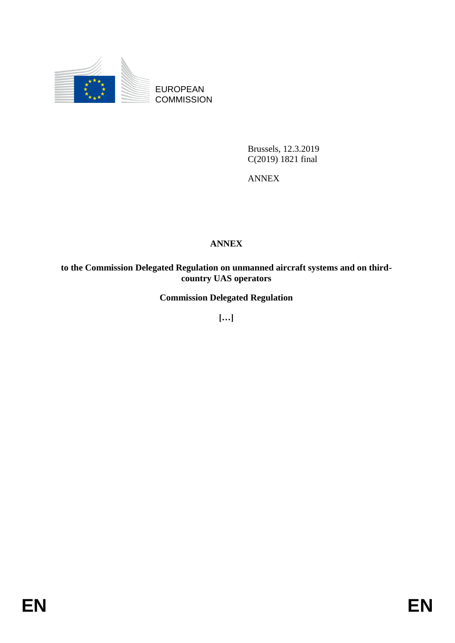

EUROPEAN **COMMISSION** 

> Brussels, 12.3.2019 C(2019) 1821 final

ANNEX

### **ANNEX**

**to the Commission Delegated Regulation on unmanned aircraft systems and on thirdcountry UAS operators**

**Commission Delegated Regulation**

**[…]**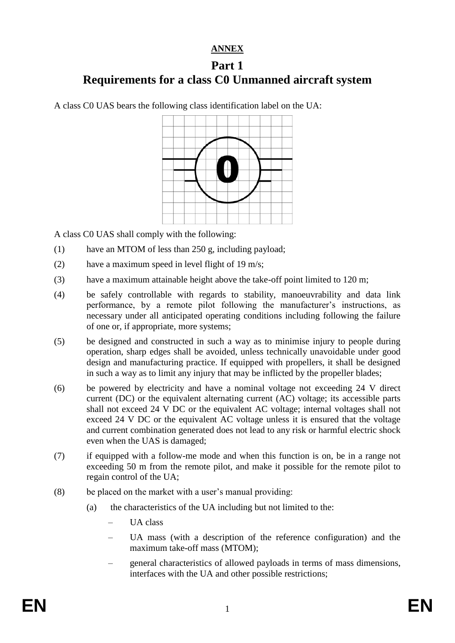### **ANNEX**

# **Part 1 Requirements for a class C0 Unmanned aircraft system**

A class C0 UAS bears the following class identification label on the UA:



A class C0 UAS shall comply with the following:

- (1) have an MTOM of less than 250 g, including payload;
- (2) have a maximum speed in level flight of 19 m/s;
- (3) have a maximum attainable height above the take-off point limited to 120 m;
- (4) be safely controllable with regards to stability, manoeuvrability and data link performance, by a remote pilot following the manufacturer's instructions, as necessary under all anticipated operating conditions including following the failure of one or, if appropriate, more systems;
- (5) be designed and constructed in such a way as to minimise injury to people during operation, sharp edges shall be avoided, unless technically unavoidable under good design and manufacturing practice. If equipped with propellers, it shall be designed in such a way as to limit any injury that may be inflicted by the propeller blades;
- (6) be powered by electricity and have a nominal voltage not exceeding 24 V direct current (DC) or the equivalent alternating current (AC) voltage; its accessible parts shall not exceed 24 V DC or the equivalent AC voltage; internal voltages shall not exceed 24 V DC or the equivalent AC voltage unless it is ensured that the voltage and current combination generated does not lead to any risk or harmful electric shock even when the UAS is damaged;
- (7) if equipped with a follow-me mode and when this function is on, be in a range not exceeding 50 m from the remote pilot, and make it possible for the remote pilot to regain control of the UA;
- (8) be placed on the market with a user's manual providing:
	- (a) the characteristics of the UA including but not limited to the:
		- UA class
		- UA mass (with a description of the reference configuration) and the maximum take-off mass (MTOM);
		- general characteristics of allowed payloads in terms of mass dimensions, interfaces with the UA and other possible restrictions;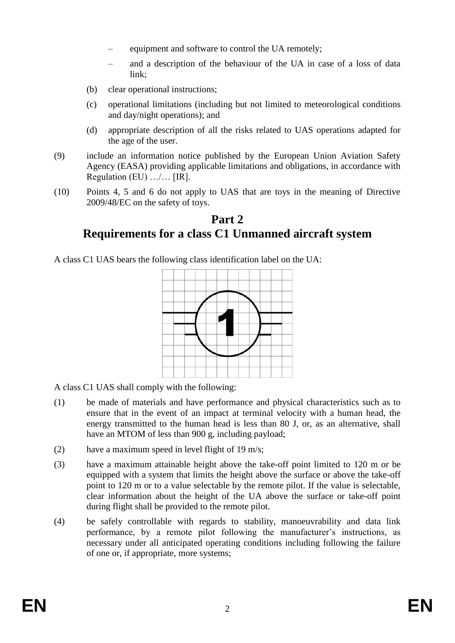- equipment and software to control the UA remotely;
- and a description of the behaviour of the UA in case of a loss of data link;
- (b) clear operational instructions;
- (c) operational limitations (including but not limited to meteorological conditions and day/night operations); and
- (d) appropriate description of all the risks related to UAS operations adapted for the age of the user.
- (9) include an information notice published by the European Union Aviation Safety Agency (EASA) providing applicable limitations and obligations, in accordance with Regulation (EU) …/… [IR].
- (10) Points 4, 5 and 6 do not apply to UAS that are toys in the meaning of Directive 2009/48/EC on the safety of toys.

## **Part 2 Requirements for a class C1 Unmanned aircraft system**

A class C1 UAS bears the following class identification label on the UA:



A class C1 UAS shall comply with the following:

- (1) be made of materials and have performance and physical characteristics such as to ensure that in the event of an impact at terminal velocity with a human head, the energy transmitted to the human head is less than 80 J, or, as an alternative, shall have an MTOM of less than 900 g, including payload;
- (2) have a maximum speed in level flight of 19 m/s;
- (3) have a maximum attainable height above the take-off point limited to 120 m or be equipped with a system that limits the height above the surface or above the take-off point to 120 m or to a value selectable by the remote pilot. If the value is selectable, clear information about the height of the UA above the surface or take-off point during flight shall be provided to the remote pilot.
- (4) be safely controllable with regards to stability, manoeuvrability and data link performance, by a remote pilot following the manufacturer's instructions, as necessary under all anticipated operating conditions including following the failure of one or, if appropriate, more systems;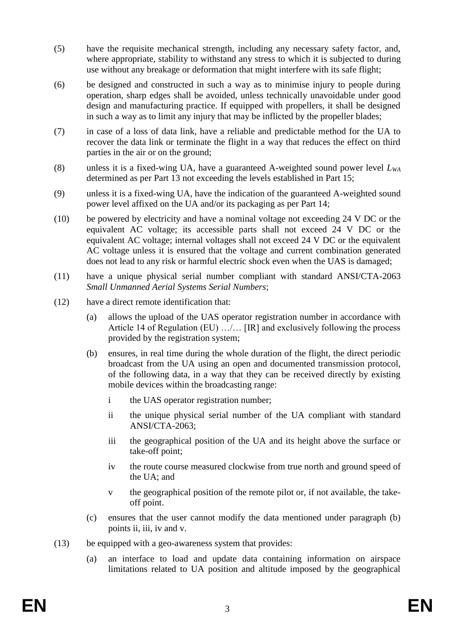- (5) have the requisite mechanical strength, including any necessary safety factor, and, where appropriate, stability to withstand any stress to which it is subjected to during use without any breakage or deformation that might interfere with its safe flight;
- (6) be designed and constructed in such a way as to minimise injury to people during operation, sharp edges shall be avoided, unless technically unavoidable under good design and manufacturing practice. If equipped with propellers, it shall be designed in such a way as to limit any injury that may be inflicted by the propeller blades;
- (7) in case of a loss of data link, have a reliable and predictable method for the UA to recover the data link or terminate the flight in a way that reduces the effect on third parties in the air or on the ground;
- (8) unless it is a fixed-wing UA, have a guaranteed A-weighted sound power level *LWA* determined as per Part 13 not exceeding the levels established in Part 15;
- (9) unless it is a fixed-wing UA, have the indication of the guaranteed A-weighted sound power level affixed on the UA and/or its packaging as per Part 14;
- (10) be powered by electricity and have a nominal voltage not exceeding 24 V DC or the equivalent AC voltage; its accessible parts shall not exceed 24 V DC or the equivalent AC voltage; internal voltages shall not exceed 24 V DC or the equivalent AC voltage unless it is ensured that the voltage and current combination generated does not lead to any risk or harmful electric shock even when the UAS is damaged;
- (11) have a unique physical serial number compliant with standard ANSI/CTA-2063 *Small Unmanned Aerial Systems Serial Numbers*;
- (12) have a direct remote identification that:
	- (a) allows the upload of the UAS operator registration number in accordance with Article 14 of Regulation (EU) .../... [IR] and exclusively following the process provided by the registration system;
	- (b) ensures, in real time during the whole duration of the flight, the direct periodic broadcast from the UA using an open and documented transmission protocol, of the following data, in a way that they can be received directly by existing mobile devices within the broadcasting range:
		- i the UAS operator registration number;
		- ii the unique physical serial number of the UA compliant with standard ANSI/CTA-2063;
		- iii the geographical position of the UA and its height above the surface or take-off point;
		- iv the route course measured clockwise from true north and ground speed of the UA; and
		- v the geographical position of the remote pilot or, if not available, the takeoff point.
	- (c) ensures that the user cannot modify the data mentioned under paragraph (b) points ii, iii, iv and v.
- (13) be equipped with a geo-awareness system that provides:
	- (a) an interface to load and update data containing information on airspace limitations related to UA position and altitude imposed by the geographical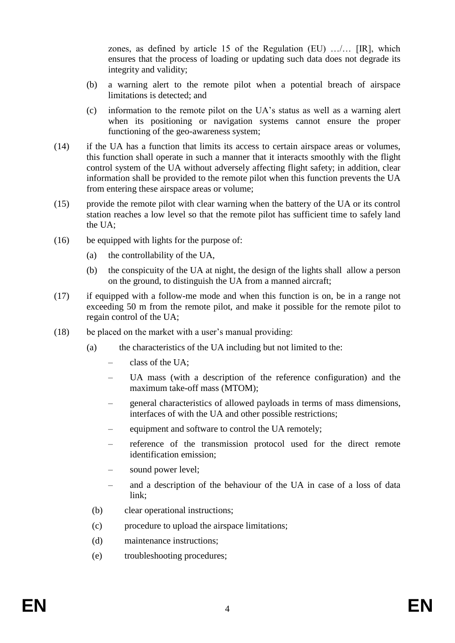zones, as defined by article 15 of the Regulation (EU) …/… [IR], which ensures that the process of loading or updating such data does not degrade its integrity and validity;

- (b) a warning alert to the remote pilot when a potential breach of airspace limitations is detected; and
- (c) information to the remote pilot on the UA's status as well as a warning alert when its positioning or navigation systems cannot ensure the proper functioning of the geo-awareness system;
- (14) if the UA has a function that limits its access to certain airspace areas or volumes, this function shall operate in such a manner that it interacts smoothly with the flight control system of the UA without adversely affecting flight safety; in addition, clear information shall be provided to the remote pilot when this function prevents the UA from entering these airspace areas or volume;
- (15) provide the remote pilot with clear warning when the battery of the UA or its control station reaches a low level so that the remote pilot has sufficient time to safely land the UA;
- (16) be equipped with lights for the purpose of:
	- (a) the controllability of the UA,
	- (b) the conspicuity of the UA at night, the design of the lights shall allow a person on the ground, to distinguish the UA from a manned aircraft;
- (17) if equipped with a follow-me mode and when this function is on, be in a range not exceeding 50 m from the remote pilot, and make it possible for the remote pilot to regain control of the UA;
- (18) be placed on the market with a user's manual providing:
	- (a) the characteristics of the UA including but not limited to the:
		- class of the UA;
		- UA mass (with a description of the reference configuration) and the maximum take-off mass (MTOM);
		- general characteristics of allowed payloads in terms of mass dimensions, interfaces of with the UA and other possible restrictions;
		- equipment and software to control the UA remotely;
		- reference of the transmission protocol used for the direct remote identification emission;
		- sound power level;
		- and a description of the behaviour of the UA in case of a loss of data link;
		- (b) clear operational instructions;
		- (c) procedure to upload the airspace limitations;
		- (d) maintenance instructions;
		- (e) troubleshooting procedures;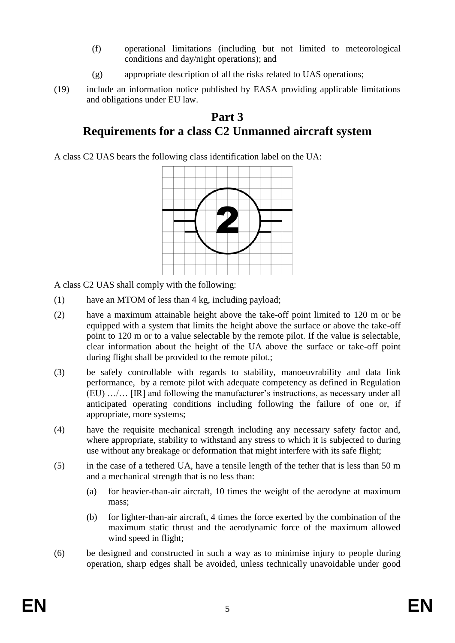- (f) operational limitations (including but not limited to meteorological conditions and day/night operations); and
- (g) appropriate description of all the risks related to UAS operations;
- (19) include an information notice published by EASA providing applicable limitations and obligations under EU law.

# **Part 3 Requirements for a class C2 Unmanned aircraft system**

A class C2 UAS bears the following class identification label on the UA:



A class C2 UAS shall comply with the following:

- (1) have an MTOM of less than 4 kg, including payload;
- (2) have a maximum attainable height above the take-off point limited to 120 m or be equipped with a system that limits the height above the surface or above the take-off point to 120 m or to a value selectable by the remote pilot. If the value is selectable, clear information about the height of the UA above the surface or take-off point during flight shall be provided to the remote pilot.;
- (3) be safely controllable with regards to stability, manoeuvrability and data link performance, by a remote pilot with adequate competency as defined in Regulation (EU) …/… [IR] and following the manufacturer's instructions, as necessary under all anticipated operating conditions including following the failure of one or, if appropriate, more systems;
- (4) have the requisite mechanical strength including any necessary safety factor and, where appropriate, stability to withstand any stress to which it is subjected to during use without any breakage or deformation that might interfere with its safe flight;
- (5) in the case of a tethered UA, have a tensile length of the tether that is less than 50 m and a mechanical strength that is no less than:
	- (a) for heavier-than-air aircraft, 10 times the weight of the aerodyne at maximum mass;
	- (b) for lighter-than-air aircraft, 4 times the force exerted by the combination of the maximum static thrust and the aerodynamic force of the maximum allowed wind speed in flight;
- (6) be designed and constructed in such a way as to minimise injury to people during operation, sharp edges shall be avoided, unless technically unavoidable under good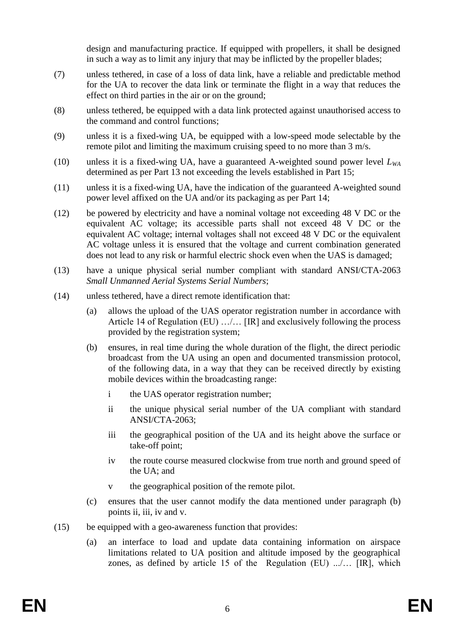design and manufacturing practice. If equipped with propellers, it shall be designed in such a way as to limit any injury that may be inflicted by the propeller blades;

- (7) unless tethered, in case of a loss of data link, have a reliable and predictable method for the UA to recover the data link or terminate the flight in a way that reduces the effect on third parties in the air or on the ground;
- (8) unless tethered, be equipped with a data link protected against unauthorised access to the command and control functions;
- (9) unless it is a fixed-wing UA, be equipped with a low-speed mode selectable by the remote pilot and limiting the maximum cruising speed to no more than 3 m/s.
- (10) unless it is a fixed-wing UA, have a guaranteed A-weighted sound power level *LWA* determined as per Part 13 not exceeding the levels established in Part 15;
- (11) unless it is a fixed-wing UA, have the indication of the guaranteed A-weighted sound power level affixed on the UA and/or its packaging as per Part 14;
- (12) be powered by electricity and have a nominal voltage not exceeding 48 V DC or the equivalent AC voltage; its accessible parts shall not exceed 48 V DC or the equivalent AC voltage; internal voltages shall not exceed 48 V DC or the equivalent AC voltage unless it is ensured that the voltage and current combination generated does not lead to any risk or harmful electric shock even when the UAS is damaged;
- (13) have a unique physical serial number compliant with standard ANSI/CTA-2063 *Small Unmanned Aerial Systems Serial Numbers*;
- (14) unless tethered, have a direct remote identification that:
	- (a) allows the upload of the UAS operator registration number in accordance with Article 14 of Regulation (EU) …/… [IR] and exclusively following the process provided by the registration system;
	- (b) ensures, in real time during the whole duration of the flight, the direct periodic broadcast from the UA using an open and documented transmission protocol, of the following data, in a way that they can be received directly by existing mobile devices within the broadcasting range:
		- i the UAS operator registration number;
		- ii the unique physical serial number of the UA compliant with standard ANSI/CTA-2063;
		- iii the geographical position of the UA and its height above the surface or take-off point;
		- iv the route course measured clockwise from true north and ground speed of the UA; and
		- v the geographical position of the remote pilot.
	- (c) ensures that the user cannot modify the data mentioned under paragraph (b) points ii, iii, iv and v.
- (15) be equipped with a geo-awareness function that provides:
	- (a) an interface to load and update data containing information on airspace limitations related to UA position and altitude imposed by the geographical zones, as defined by article 15 of the Regulation  $(EU)$  ......  $[IR]$ , which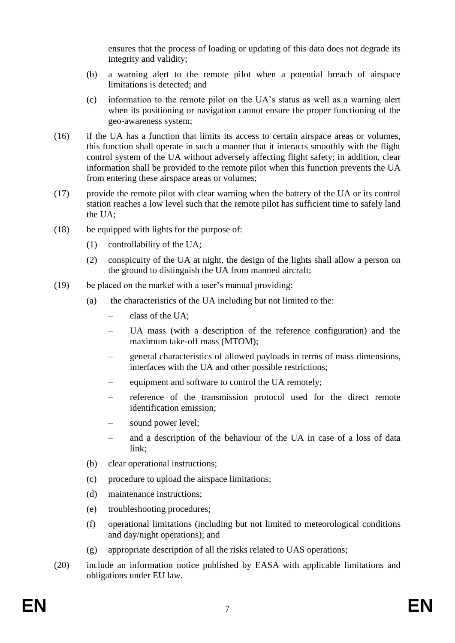ensures that the process of loading or updating of this data does not degrade its integrity and validity;

- (b) a warning alert to the remote pilot when a potential breach of airspace limitations is detected; and
- (c) information to the remote pilot on the UA's status as well as a warning alert when its positioning or navigation cannot ensure the proper functioning of the geo-awareness system;
- (16) if the UA has a function that limits its access to certain airspace areas or volumes, this function shall operate in such a manner that it interacts smoothly with the flight control system of the UA without adversely affecting flight safety; in addition, clear information shall be provided to the remote pilot when this function prevents the UA from entering these airspace areas or volumes;
- (17) provide the remote pilot with clear warning when the battery of the UA or its control station reaches a low level such that the remote pilot has sufficient time to safely land the UA;
- (18) be equipped with lights for the purpose of:
	- (1) controllability of the UA;
	- (2) conspicuity of the UA at night, the design of the lights shall allow a person on the ground to distinguish the UA from manned aircraft;
- (19) be placed on the market with a user's manual providing:
	- (a) the characteristics of the UA including but not limited to the:
		- class of the UA;
		- UA mass (with a description of the reference configuration) and the maximum take-off mass (MTOM);
		- general characteristics of allowed payloads in terms of mass dimensions, interfaces with the UA and other possible restrictions;
		- equipment and software to control the UA remotely;
		- reference of the transmission protocol used for the direct remote identification emission;
		- sound power level;
		- and a description of the behaviour of the UA in case of a loss of data link;
	- (b) clear operational instructions;
	- (c) procedure to upload the airspace limitations;
	- (d) maintenance instructions;
	- (e) troubleshooting procedures;
	- (f) operational limitations (including but not limited to meteorological conditions and day/night operations); and
	- (g) appropriate description of all the risks related to UAS operations;
- (20) include an information notice published by EASA with applicable limitations and obligations under EU law.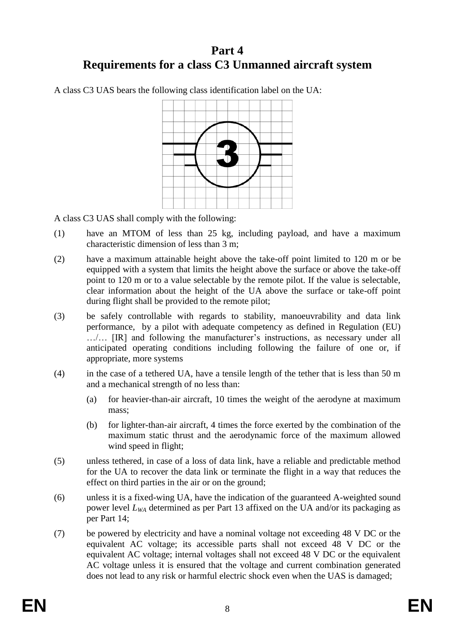# **Part 4 Requirements for a class C3 Unmanned aircraft system**

A class C3 UAS bears the following class identification label on the UA:



A class C3 UAS shall comply with the following:

- (1) have an MTOM of less than 25 kg, including payload, and have a maximum characteristic dimension of less than 3 m;
- (2) have a maximum attainable height above the take-off point limited to 120 m or be equipped with a system that limits the height above the surface or above the take-off point to 120 m or to a value selectable by the remote pilot. If the value is selectable, clear information about the height of the UA above the surface or take-off point during flight shall be provided to the remote pilot;
- (3) be safely controllable with regards to stability, manoeuvrability and data link performance, by a pilot with adequate competency as defined in Regulation (EU) …/… [IR] and following the manufacturer's instructions, as necessary under all anticipated operating conditions including following the failure of one or, if appropriate, more systems
- (4) in the case of a tethered UA, have a tensile length of the tether that is less than 50 m and a mechanical strength of no less than:
	- (a) for heavier-than-air aircraft, 10 times the weight of the aerodyne at maximum mass;
	- (b) for lighter-than-air aircraft, 4 times the force exerted by the combination of the maximum static thrust and the aerodynamic force of the maximum allowed wind speed in flight;
- (5) unless tethered, in case of a loss of data link, have a reliable and predictable method for the UA to recover the data link or terminate the flight in a way that reduces the effect on third parties in the air or on the ground;
- (6) unless it is a fixed-wing UA, have the indication of the guaranteed A-weighted sound power level *LWA* determined as per Part 13 affixed on the UA and/or its packaging as per Part 14;
- (7) be powered by electricity and have a nominal voltage not exceeding 48 V DC or the equivalent AC voltage; its accessible parts shall not exceed 48 V DC or the equivalent AC voltage; internal voltages shall not exceed 48 V DC or the equivalent AC voltage unless it is ensured that the voltage and current combination generated does not lead to any risk or harmful electric shock even when the UAS is damaged;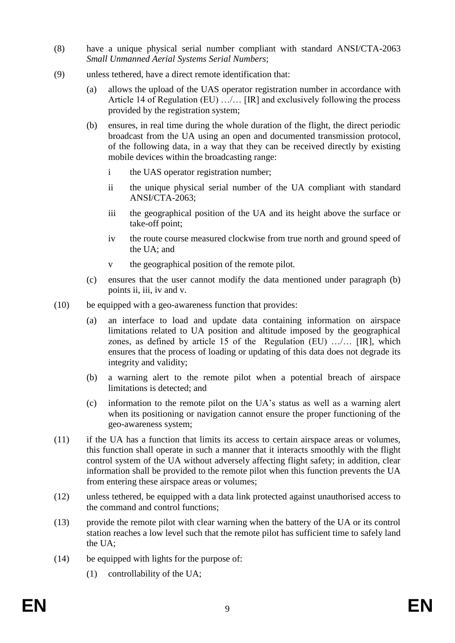- (8) have a unique physical serial number compliant with standard ANSI/CTA-2063 *Small Unmanned Aerial Systems Serial Numbers*;
- (9) unless tethered, have a direct remote identification that:
	- (a) allows the upload of the UAS operator registration number in accordance with Article 14 of Regulation (EU) .../... [IR] and exclusively following the process provided by the registration system;
	- (b) ensures, in real time during the whole duration of the flight, the direct periodic broadcast from the UA using an open and documented transmission protocol, of the following data, in a way that they can be received directly by existing mobile devices within the broadcasting range:
		- i the UAS operator registration number;
		- ii the unique physical serial number of the UA compliant with standard ANSI/CTA-2063;
		- iii the geographical position of the UA and its height above the surface or take-off point;
		- iv the route course measured clockwise from true north and ground speed of the UA; and
		- v the geographical position of the remote pilot.
	- (c) ensures that the user cannot modify the data mentioned under paragraph (b) points ii, iii, iv and v.
- (10) be equipped with a geo-awareness function that provides:
	- (a) an interface to load and update data containing information on airspace limitations related to UA position and altitude imposed by the geographical zones, as defined by article 15 of the Regulation (EU) …/… [IR], which ensures that the process of loading or updating of this data does not degrade its integrity and validity;
	- (b) a warning alert to the remote pilot when a potential breach of airspace limitations is detected; and
	- (c) information to the remote pilot on the UA's status as well as a warning alert when its positioning or navigation cannot ensure the proper functioning of the geo-awareness system;
- (11) if the UA has a function that limits its access to certain airspace areas or volumes, this function shall operate in such a manner that it interacts smoothly with the flight control system of the UA without adversely affecting flight safety; in addition, clear information shall be provided to the remote pilot when this function prevents the UA from entering these airspace areas or volumes;
- (12) unless tethered, be equipped with a data link protected against unauthorised access to the command and control functions;
- (13) provide the remote pilot with clear warning when the battery of the UA or its control station reaches a low level such that the remote pilot has sufficient time to safely land the UA;
- (14) be equipped with lights for the purpose of:
	- (1) controllability of the UA;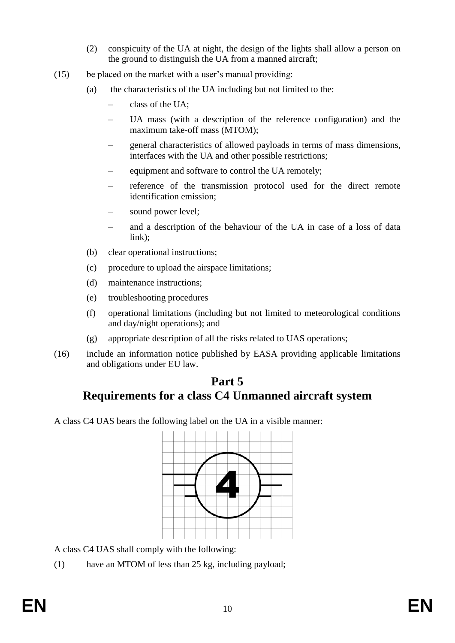- (2) conspicuity of the UA at night, the design of the lights shall allow a person on the ground to distinguish the UA from a manned aircraft;
- (15) be placed on the market with a user's manual providing:
	- (a) the characteristics of the UA including but not limited to the:
		- class of the UA;
		- UA mass (with a description of the reference configuration) and the maximum take-off mass (MTOM);
		- general characteristics of allowed payloads in terms of mass dimensions, interfaces with the UA and other possible restrictions;
		- equipment and software to control the UA remotely;
		- reference of the transmission protocol used for the direct remote identification emission;
		- sound power level;
		- and a description of the behaviour of the UA in case of a loss of data link);
	- (b) clear operational instructions;
	- (c) procedure to upload the airspace limitations;
	- (d) maintenance instructions;
	- (e) troubleshooting procedures
	- (f) operational limitations (including but not limited to meteorological conditions and day/night operations); and
	- (g) appropriate description of all the risks related to UAS operations;
- (16) include an information notice published by EASA providing applicable limitations and obligations under EU law.

# **Part 5 Requirements for a class C4 Unmanned aircraft system**

A class C4 UAS bears the following label on the UA in a visible manner:



A class C4 UAS shall comply with the following:

(1) have an MTOM of less than 25 kg, including payload;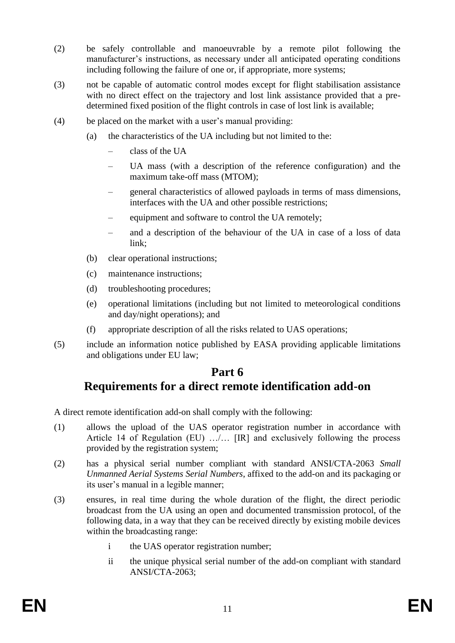- (2) be safely controllable and manoeuvrable by a remote pilot following the manufacturer's instructions, as necessary under all anticipated operating conditions including following the failure of one or, if appropriate, more systems;
- (3) not be capable of automatic control modes except for flight stabilisation assistance with no direct effect on the trajectory and lost link assistance provided that a predetermined fixed position of the flight controls in case of lost link is available;
- (4) be placed on the market with a user's manual providing:
	- (a) the characteristics of the UA including but not limited to the:
		- class of the UA
		- UA mass (with a description of the reference configuration) and the maximum take-off mass (MTOM);
		- general characteristics of allowed payloads in terms of mass dimensions, interfaces with the UA and other possible restrictions;
		- equipment and software to control the UA remotely;
		- and a description of the behaviour of the UA in case of a loss of data link;
	- (b) clear operational instructions;
	- (c) maintenance instructions;
	- (d) troubleshooting procedures;
	- (e) operational limitations (including but not limited to meteorological conditions and day/night operations); and
	- (f) appropriate description of all the risks related to UAS operations;
- (5) include an information notice published by EASA providing applicable limitations and obligations under EU law;

## **Part 6 Requirements for a direct remote identification add-on**

A direct remote identification add-on shall comply with the following:

- (1) allows the upload of the UAS operator registration number in accordance with Article 14 of Regulation (EU) …/… [IR] and exclusively following the process provided by the registration system;
- (2) has a physical serial number compliant with standard ANSI/CTA-2063 *Small Unmanned Aerial Systems Serial Numbers*, affixed to the add-on and its packaging or its user's manual in a legible manner;
- (3) ensures, in real time during the whole duration of the flight, the direct periodic broadcast from the UA using an open and documented transmission protocol, of the following data, in a way that they can be received directly by existing mobile devices within the broadcasting range:
	- i the UAS operator registration number;
	- ii the unique physical serial number of the add-on compliant with standard ANSI/CTA-2063;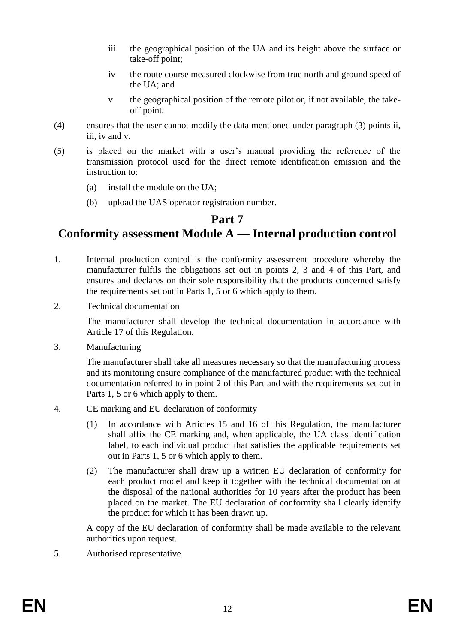- iii the geographical position of the UA and its height above the surface or take-off point;
- iv the route course measured clockwise from true north and ground speed of the UA; and
- v the geographical position of the remote pilot or, if not available, the takeoff point.
- (4) ensures that the user cannot modify the data mentioned under paragraph (3) points ii, iii, iv and v.
- (5) is placed on the market with a user's manual providing the reference of the transmission protocol used for the direct remote identification emission and the instruction to:
	- (a) install the module on the UA;
	- (b) upload the UAS operator registration number.

## **Part 7**

# **Conformity assessment Module A — Internal production control**

- 1. Internal production control is the conformity assessment procedure whereby the manufacturer fulfils the obligations set out in points 2, 3 and 4 of this Part, and ensures and declares on their sole responsibility that the products concerned satisfy the requirements set out in Parts 1, 5 or 6 which apply to them.
- 2. Technical documentation

The manufacturer shall develop the technical documentation in accordance with Article 17 of this Regulation.

3. Manufacturing

The manufacturer shall take all measures necessary so that the manufacturing process and its monitoring ensure compliance of the manufactured product with the technical documentation referred to in point 2 of this Part and with the requirements set out in Parts 1, 5 or 6 which apply to them.

- 4. CE marking and EU declaration of conformity
	- (1) In accordance with Articles 15 and 16 of this Regulation, the manufacturer shall affix the CE marking and, when applicable, the UA class identification label, to each individual product that satisfies the applicable requirements set out in Parts 1, 5 or 6 which apply to them.
	- (2) The manufacturer shall draw up a written EU declaration of conformity for each product model and keep it together with the technical documentation at the disposal of the national authorities for 10 years after the product has been placed on the market. The EU declaration of conformity shall clearly identify the product for which it has been drawn up.

A copy of the EU declaration of conformity shall be made available to the relevant authorities upon request.

5. Authorised representative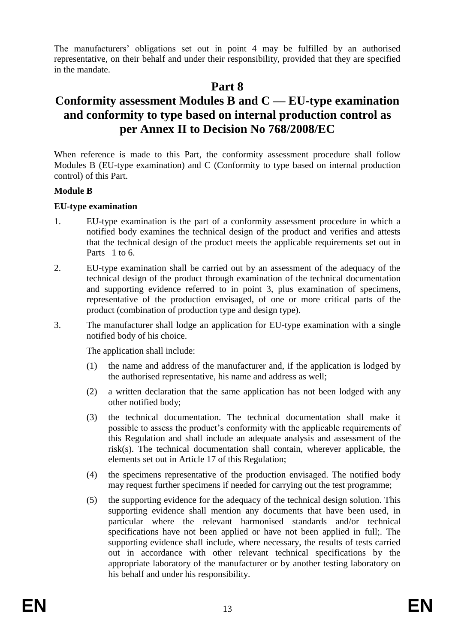The manufacturers' obligations set out in point 4 may be fulfilled by an authorised representative, on their behalf and under their responsibility, provided that they are specified in the mandate.

## **Part 8**

# **Conformity assessment Modules B and C — EU-type examination and conformity to type based on internal production control as per Annex II to Decision No 768/2008/EC**

When reference is made to this Part, the conformity assessment procedure shall follow Modules B (EU-type examination) and C (Conformity to type based on internal production control) of this Part.

### **Module B**

### **EU-type examination**

- 1. EU-type examination is the part of a conformity assessment procedure in which a notified body examines the technical design of the product and verifies and attests that the technical design of the product meets the applicable requirements set out in Parts 1 to 6.
- 2. EU-type examination shall be carried out by an assessment of the adequacy of the technical design of the product through examination of the technical documentation and supporting evidence referred to in point 3, plus examination of specimens, representative of the production envisaged, of one or more critical parts of the product (combination of production type and design type).
- 3. The manufacturer shall lodge an application for EU-type examination with a single notified body of his choice.

The application shall include:

- (1) the name and address of the manufacturer and, if the application is lodged by the authorised representative, his name and address as well;
- (2) a written declaration that the same application has not been lodged with any other notified body;
- (3) the technical documentation. The technical documentation shall make it possible to assess the product's conformity with the applicable requirements of this Regulation and shall include an adequate analysis and assessment of the risk(s). The technical documentation shall contain, wherever applicable, the elements set out in Article 17 of this Regulation;
- (4) the specimens representative of the production envisaged. The notified body may request further specimens if needed for carrying out the test programme;
- (5) the supporting evidence for the adequacy of the technical design solution. This supporting evidence shall mention any documents that have been used, in particular where the relevant harmonised standards and/or technical specifications have not been applied or have not been applied in full;. The supporting evidence shall include, where necessary, the results of tests carried out in accordance with other relevant technical specifications by the appropriate laboratory of the manufacturer or by another testing laboratory on his behalf and under his responsibility.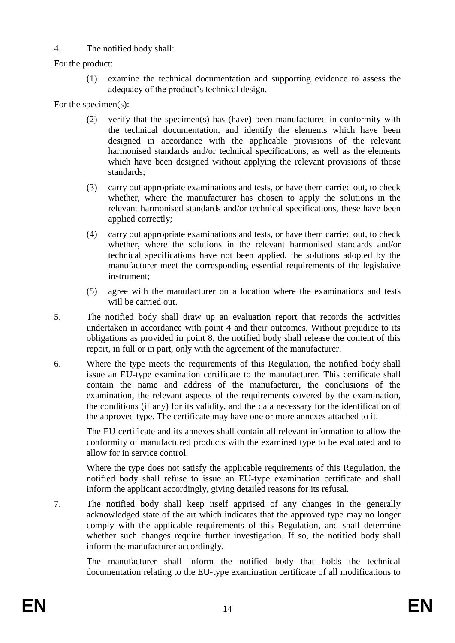### 4. The notified body shall:

For the product:

(1) examine the technical documentation and supporting evidence to assess the adequacy of the product's technical design.

For the specimen(s):

- (2) verify that the specimen(s) has (have) been manufactured in conformity with the technical documentation, and identify the elements which have been designed in accordance with the applicable provisions of the relevant harmonised standards and/or technical specifications, as well as the elements which have been designed without applying the relevant provisions of those standards;
- (3) carry out appropriate examinations and tests, or have them carried out, to check whether, where the manufacturer has chosen to apply the solutions in the relevant harmonised standards and/or technical specifications, these have been applied correctly;
- (4) carry out appropriate examinations and tests, or have them carried out, to check whether, where the solutions in the relevant harmonised standards and/or technical specifications have not been applied, the solutions adopted by the manufacturer meet the corresponding essential requirements of the legislative instrument;
- (5) agree with the manufacturer on a location where the examinations and tests will be carried out.
- 5. The notified body shall draw up an evaluation report that records the activities undertaken in accordance with point 4 and their outcomes. Without prejudice to its obligations as provided in point 8, the notified body shall release the content of this report, in full or in part, only with the agreement of the manufacturer.
- 6. Where the type meets the requirements of this Regulation, the notified body shall issue an EU-type examination certificate to the manufacturer. This certificate shall contain the name and address of the manufacturer, the conclusions of the examination, the relevant aspects of the requirements covered by the examination, the conditions (if any) for its validity, and the data necessary for the identification of the approved type. The certificate may have one or more annexes attached to it.

The EU certificate and its annexes shall contain all relevant information to allow the conformity of manufactured products with the examined type to be evaluated and to allow for in service control.

Where the type does not satisfy the applicable requirements of this Regulation, the notified body shall refuse to issue an EU-type examination certificate and shall inform the applicant accordingly, giving detailed reasons for its refusal.

7. The notified body shall keep itself apprised of any changes in the generally acknowledged state of the art which indicates that the approved type may no longer comply with the applicable requirements of this Regulation, and shall determine whether such changes require further investigation. If so, the notified body shall inform the manufacturer accordingly.

The manufacturer shall inform the notified body that holds the technical documentation relating to the EU-type examination certificate of all modifications to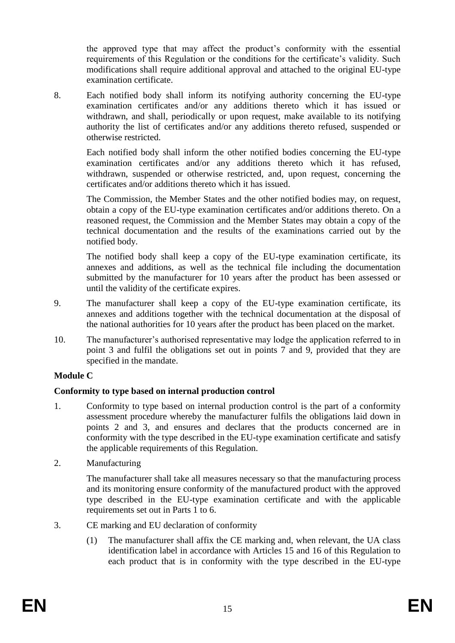the approved type that may affect the product's conformity with the essential requirements of this Regulation or the conditions for the certificate's validity. Such modifications shall require additional approval and attached to the original EU-type examination certificate.

8. Each notified body shall inform its notifying authority concerning the EU-type examination certificates and/or any additions thereto which it has issued or withdrawn, and shall, periodically or upon request, make available to its notifying authority the list of certificates and/or any additions thereto refused, suspended or otherwise restricted.

Each notified body shall inform the other notified bodies concerning the EU-type examination certificates and/or any additions thereto which it has refused, withdrawn, suspended or otherwise restricted, and, upon request, concerning the certificates and/or additions thereto which it has issued.

The Commission, the Member States and the other notified bodies may, on request, obtain a copy of the EU-type examination certificates and/or additions thereto. On a reasoned request, the Commission and the Member States may obtain a copy of the technical documentation and the results of the examinations carried out by the notified body.

The notified body shall keep a copy of the EU-type examination certificate, its annexes and additions, as well as the technical file including the documentation submitted by the manufacturer for 10 years after the product has been assessed or until the validity of the certificate expires.

- 9. The manufacturer shall keep a copy of the EU-type examination certificate, its annexes and additions together with the technical documentation at the disposal of the national authorities for 10 years after the product has been placed on the market.
- 10. The manufacturer's authorised representative may lodge the application referred to in point 3 and fulfil the obligations set out in points 7 and 9, provided that they are specified in the mandate.

### **Module C**

### **Conformity to type based on internal production control**

- 1. Conformity to type based on internal production control is the part of a conformity assessment procedure whereby the manufacturer fulfils the obligations laid down in points 2 and 3, and ensures and declares that the products concerned are in conformity with the type described in the EU-type examination certificate and satisfy the applicable requirements of this Regulation.
- 2. Manufacturing

The manufacturer shall take all measures necessary so that the manufacturing process and its monitoring ensure conformity of the manufactured product with the approved type described in the EU-type examination certificate and with the applicable requirements set out in Parts 1 to 6.

- 3. CE marking and EU declaration of conformity
	- (1) The manufacturer shall affix the CE marking and, when relevant, the UA class identification label in accordance with Articles 15 and 16 of this Regulation to each product that is in conformity with the type described in the EU-type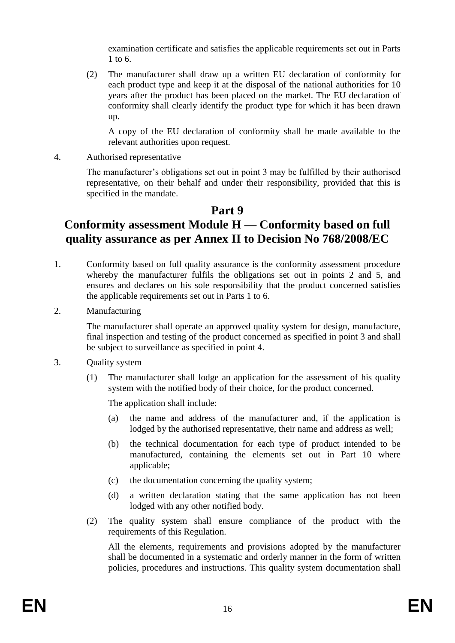examination certificate and satisfies the applicable requirements set out in Parts 1 to 6.

(2) The manufacturer shall draw up a written EU declaration of conformity for each product type and keep it at the disposal of the national authorities for 10 years after the product has been placed on the market. The EU declaration of conformity shall clearly identify the product type for which it has been drawn up.

A copy of the EU declaration of conformity shall be made available to the relevant authorities upon request.

4. Authorised representative

The manufacturer's obligations set out in point 3 may be fulfilled by their authorised representative, on their behalf and under their responsibility, provided that this is specified in the mandate.

# **Part 9**

# **Conformity assessment Module H — Conformity based on full quality assurance as per Annex II to Decision No 768/2008/EC**

- 1. Conformity based on full quality assurance is the conformity assessment procedure whereby the manufacturer fulfils the obligations set out in points 2 and 5, and ensures and declares on his sole responsibility that the product concerned satisfies the applicable requirements set out in Parts 1 to 6.
- 2. Manufacturing

The manufacturer shall operate an approved quality system for design, manufacture, final inspection and testing of the product concerned as specified in point 3 and shall be subject to surveillance as specified in point 4.

- 3. Quality system
	- (1) The manufacturer shall lodge an application for the assessment of his quality system with the notified body of their choice, for the product concerned.

The application shall include:

- (a) the name and address of the manufacturer and, if the application is lodged by the authorised representative, their name and address as well;
- (b) the technical documentation for each type of product intended to be manufactured, containing the elements set out in Part 10 where applicable;
- (c) the documentation concerning the quality system;
- (d) a written declaration stating that the same application has not been lodged with any other notified body.
- (2) The quality system shall ensure compliance of the product with the requirements of this Regulation.

All the elements, requirements and provisions adopted by the manufacturer shall be documented in a systematic and orderly manner in the form of written policies, procedures and instructions. This quality system documentation shall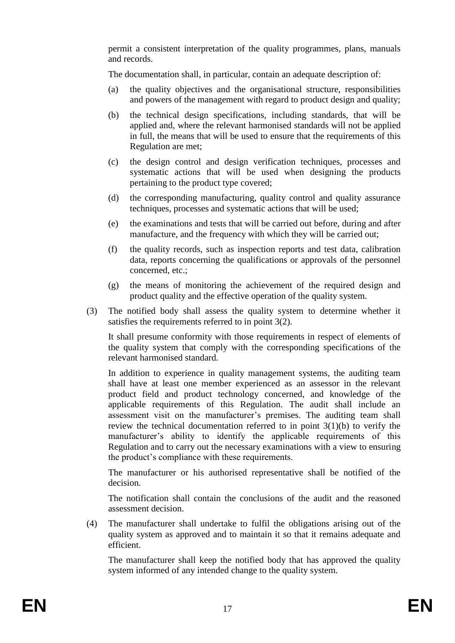permit a consistent interpretation of the quality programmes, plans, manuals and records.

The documentation shall, in particular, contain an adequate description of:

- (a) the quality objectives and the organisational structure, responsibilities and powers of the management with regard to product design and quality;
- (b) the technical design specifications, including standards, that will be applied and, where the relevant harmonised standards will not be applied in full, the means that will be used to ensure that the requirements of this Regulation are met;
- (c) the design control and design verification techniques, processes and systematic actions that will be used when designing the products pertaining to the product type covered;
- (d) the corresponding manufacturing, quality control and quality assurance techniques, processes and systematic actions that will be used;
- (e) the examinations and tests that will be carried out before, during and after manufacture, and the frequency with which they will be carried out;
- (f) the quality records, such as inspection reports and test data, calibration data, reports concerning the qualifications or approvals of the personnel concerned, etc.;
- (g) the means of monitoring the achievement of the required design and product quality and the effective operation of the quality system.
- (3) The notified body shall assess the quality system to determine whether it satisfies the requirements referred to in point 3(2).

It shall presume conformity with those requirements in respect of elements of the quality system that comply with the corresponding specifications of the relevant harmonised standard.

In addition to experience in quality management systems, the auditing team shall have at least one member experienced as an assessor in the relevant product field and product technology concerned, and knowledge of the applicable requirements of this Regulation. The audit shall include an assessment visit on the manufacturer's premises. The auditing team shall review the technical documentation referred to in point  $3(1)(b)$  to verify the manufacturer's ability to identify the applicable requirements of this Regulation and to carry out the necessary examinations with a view to ensuring the product's compliance with these requirements.

The manufacturer or his authorised representative shall be notified of the decision.

The notification shall contain the conclusions of the audit and the reasoned assessment decision.

(4) The manufacturer shall undertake to fulfil the obligations arising out of the quality system as approved and to maintain it so that it remains adequate and efficient.

The manufacturer shall keep the notified body that has approved the quality system informed of any intended change to the quality system.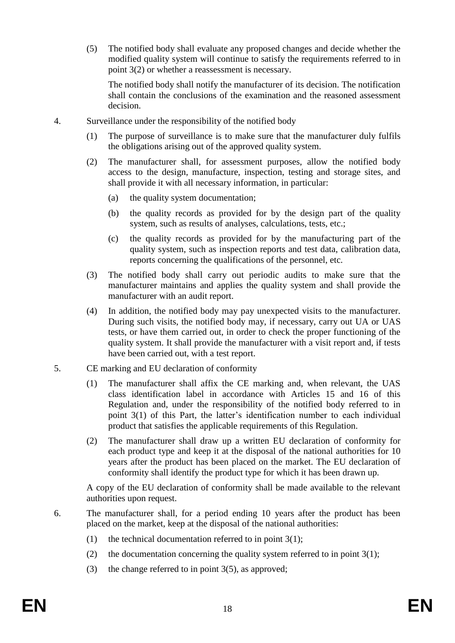(5) The notified body shall evaluate any proposed changes and decide whether the modified quality system will continue to satisfy the requirements referred to in point 3(2) or whether a reassessment is necessary.

The notified body shall notify the manufacturer of its decision. The notification shall contain the conclusions of the examination and the reasoned assessment decision.

- 4. Surveillance under the responsibility of the notified body
	- (1) The purpose of surveillance is to make sure that the manufacturer duly fulfils the obligations arising out of the approved quality system.
	- (2) The manufacturer shall, for assessment purposes, allow the notified body access to the design, manufacture, inspection, testing and storage sites, and shall provide it with all necessary information, in particular:
		- (a) the quality system documentation;
		- (b) the quality records as provided for by the design part of the quality system, such as results of analyses, calculations, tests, etc.;
		- (c) the quality records as provided for by the manufacturing part of the quality system, such as inspection reports and test data, calibration data, reports concerning the qualifications of the personnel, etc.
	- (3) The notified body shall carry out periodic audits to make sure that the manufacturer maintains and applies the quality system and shall provide the manufacturer with an audit report.
	- (4) In addition, the notified body may pay unexpected visits to the manufacturer. During such visits, the notified body may, if necessary, carry out UA or UAS tests, or have them carried out, in order to check the proper functioning of the quality system. It shall provide the manufacturer with a visit report and, if tests have been carried out, with a test report.
- 5. CE marking and EU declaration of conformity
	- (1) The manufacturer shall affix the CE marking and, when relevant, the UAS class identification label in accordance with Articles 15 and 16 of this Regulation and, under the responsibility of the notified body referred to in point 3(1) of this Part, the latter's identification number to each individual product that satisfies the applicable requirements of this Regulation.
	- (2) The manufacturer shall draw up a written EU declaration of conformity for each product type and keep it at the disposal of the national authorities for 10 years after the product has been placed on the market. The EU declaration of conformity shall identify the product type for which it has been drawn up.

A copy of the EU declaration of conformity shall be made available to the relevant authorities upon request.

- 6. The manufacturer shall, for a period ending 10 years after the product has been placed on the market, keep at the disposal of the national authorities:
	- (1) the technical documentation referred to in point  $3(1)$ ;
	- (2) the documentation concerning the quality system referred to in point  $3(1)$ ;
	- (3) the change referred to in point  $3(5)$ , as approved;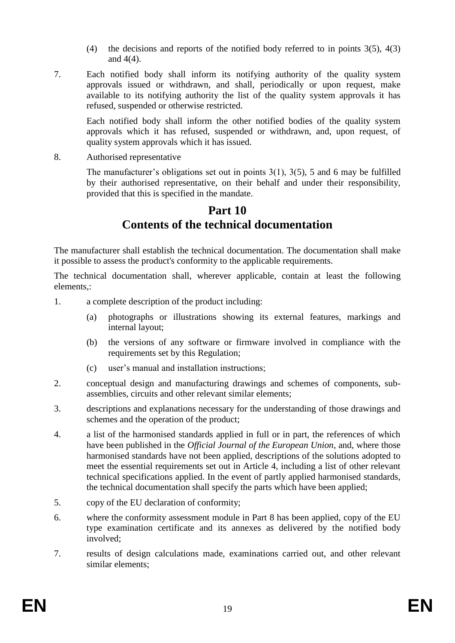- (4) the decisions and reports of the notified body referred to in points 3(5), 4(3) and 4(4).
- 7. Each notified body shall inform its notifying authority of the quality system approvals issued or withdrawn, and shall, periodically or upon request, make available to its notifying authority the list of the quality system approvals it has refused, suspended or otherwise restricted.

Each notified body shall inform the other notified bodies of the quality system approvals which it has refused, suspended or withdrawn, and, upon request, of quality system approvals which it has issued.

8. Authorised representative

The manufacturer's obligations set out in points  $3(1)$ ,  $3(5)$ , 5 and 6 may be fulfilled by their authorised representative, on their behalf and under their responsibility, provided that this is specified in the mandate.

# **Part 10 Contents of the technical documentation**

The manufacturer shall establish the technical documentation. The documentation shall make it possible to assess the product's conformity to the applicable requirements.

The technical documentation shall, wherever applicable, contain at least the following elements,:

- 1. a complete description of the product including:
	- (a) photographs or illustrations showing its external features, markings and internal layout;
	- (b) the versions of any software or firmware involved in compliance with the requirements set by this Regulation;
	- (c) user's manual and installation instructions;
- 2. conceptual design and manufacturing drawings and schemes of components, subassemblies, circuits and other relevant similar elements;
- 3. descriptions and explanations necessary for the understanding of those drawings and schemes and the operation of the product;
- 4. a list of the harmonised standards applied in full or in part, the references of which have been published in the *Official Journal of the European Union*, and, where those harmonised standards have not been applied, descriptions of the solutions adopted to meet the essential requirements set out in Article 4, including a list of other relevant technical specifications applied. In the event of partly applied harmonised standards, the technical documentation shall specify the parts which have been applied;
- 5. copy of the EU declaration of conformity;
- 6. where the conformity assessment module in Part 8 has been applied, copy of the EU type examination certificate and its annexes as delivered by the notified body involved;
- 7. results of design calculations made, examinations carried out, and other relevant similar elements;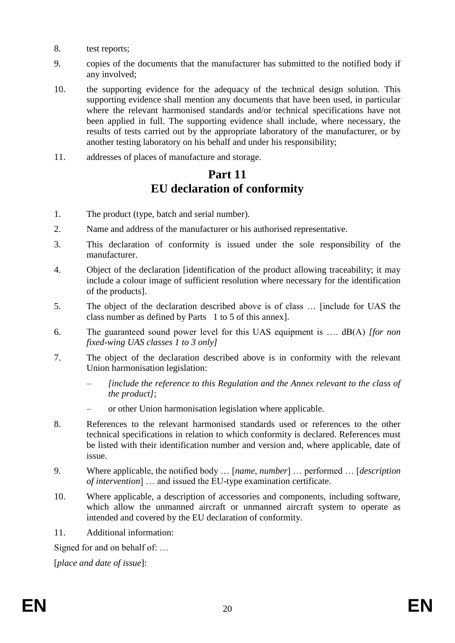- 8. test reports;
- 9. copies of the documents that the manufacturer has submitted to the notified body if any involved;
- 10. the supporting evidence for the adequacy of the technical design solution. This supporting evidence shall mention any documents that have been used, in particular where the relevant harmonised standards and/or technical specifications have not been applied in full. The supporting evidence shall include, where necessary, the results of tests carried out by the appropriate laboratory of the manufacturer, or by another testing laboratory on his behalf and under his responsibility;
- 11. addresses of places of manufacture and storage.

# **Part 11 EU declaration of conformity**

- 1. The product (type, batch and serial number).
- 2. Name and address of the manufacturer or his authorised representative.
- 3. This declaration of conformity is issued under the sole responsibility of the manufacturer.
- 4. Object of the declaration [identification of the product allowing traceability; it may include a colour image of sufficient resolution where necessary for the identification of the products].
- 5. The object of the declaration described above is of class … [include for UAS the class number as defined by Parts 1 to 5 of this annex].
- 6. The guaranteed sound power level for this UAS equipment is …. dB(A) *[for non fixed-wing UAS classes 1 to 3 only]*
- 7. The object of the declaration described above is in conformity with the relevant Union harmonisation legislation:
	- *[include the reference to this Regulation and the Annex relevant to the class of the product]*;
	- or other Union harmonisation legislation where applicable.
- 8. References to the relevant harmonised standards used or references to the other technical specifications in relation to which conformity is declared. References must be listed with their identification number and version and, where applicable, date of issue.
- 9. Where applicable, the notified body … [*name, number*] … performed … [*description of intervention*] … and issued the EU-type examination certificate.
- 10. Where applicable, a description of accessories and components, including software, which allow the unmanned aircraft or unmanned aircraft system to operate as intended and covered by the EU declaration of conformity.
- 11. Additional information:

Signed for and on behalf of: …

[*place and date of issue*]: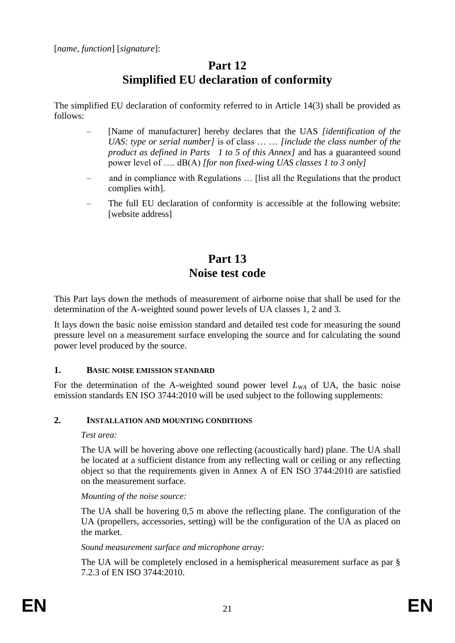# **Part 12 Simplified EU declaration of conformity**

The simplified EU declaration of conformity referred to in Article 14(3) shall be provided as follows:

- [Name of manufacturer] hereby declares that the UAS *[identification of the UAS: type or serial number]* is of class … … *[include the class number of the product as defined in Parts 1 to 5 of this Annex]* and has a guaranteed sound power level of …. dB(A) *[for non fixed-wing UAS classes 1 to 3 only]*
- and in compliance with Regulations … [list all the Regulations that the product complies with].
- The full EU declaration of conformity is accessible at the following website: [website address]

# **Part 13 Noise test code**

This Part lays down the methods of measurement of airborne noise that shall be used for the determination of the A-weighted sound power levels of UA classes 1, 2 and 3.

It lays down the basic noise emission standard and detailed test code for measuring the sound pressure level on a measurement surface enveloping the source and for calculating the sound power level produced by the source.

### **1. BASIC NOISE EMISSION STANDARD**

For the determination of the A-weighted sound power level  $L_{WA}$  of UA, the basic noise emission standards EN ISO 3744:2010 will be used subject to the following supplements:

### **2. INSTALLATION AND MOUNTING CONDITIONS**

### *Test area:*

The UA will be hovering above one reflecting (acoustically hard) plane. The UA shall be located at a sufficient distance from any reflecting wall or ceiling or any reflecting object so that the requirements given in Annex A of EN ISO 3744:2010 are satisfied on the measurement surface.

### *Mounting of the noise source:*

The UA shall be hovering 0,5 m above the reflecting plane. The configuration of the UA (propellers, accessories, setting) will be the configuration of the UA as placed on the market.

### *Sound measurement surface and microphone array:*

The UA will be completely enclosed in a hemispherical measurement surface as par § 7.2.3 of EN ISO 3744:2010.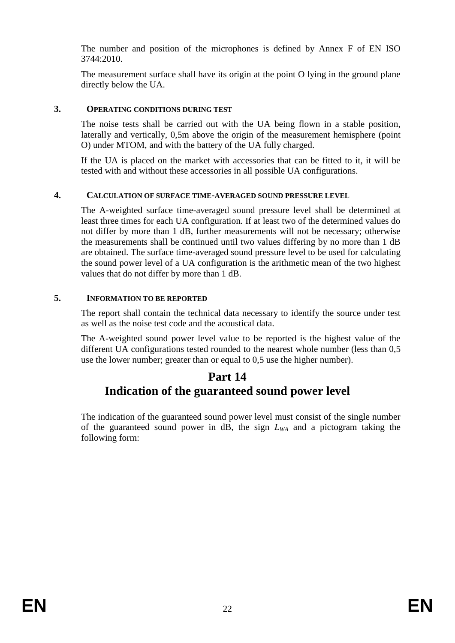The number and position of the microphones is defined by Annex F of EN ISO 3744:2010.

The measurement surface shall have its origin at the point O lying in the ground plane directly below the UA.

### **3. OPERATING CONDITIONS DURING TEST**

The noise tests shall be carried out with the UA being flown in a stable position, laterally and vertically, 0,5m above the origin of the measurement hemisphere (point O) under MTOM, and with the battery of the UA fully charged.

If the UA is placed on the market with accessories that can be fitted to it, it will be tested with and without these accessories in all possible UA configurations.

### **4. CALCULATION OF SURFACE TIME-AVERAGED SOUND PRESSURE LEVEL**

The A-weighted surface time-averaged sound pressure level shall be determined at least three times for each UA configuration. If at least two of the determined values do not differ by more than 1 dB, further measurements will not be necessary; otherwise the measurements shall be continued until two values differing by no more than 1 dB are obtained. The surface time-averaged sound pressure level to be used for calculating the sound power level of a UA configuration is the arithmetic mean of the two highest values that do not differ by more than 1 dB.

### **5. INFORMATION TO BE REPORTED**

The report shall contain the technical data necessary to identify the source under test as well as the noise test code and the acoustical data.

The A-weighted sound power level value to be reported is the highest value of the different UA configurations tested rounded to the nearest whole number (less than 0,5 use the lower number; greater than or equal to 0,5 use the higher number).

## **Part 14 Indication of the guaranteed sound power level**

The indication of the guaranteed sound power level must consist of the single number of the guaranteed sound power in dB, the sign *LWA* and a pictogram taking the following form: